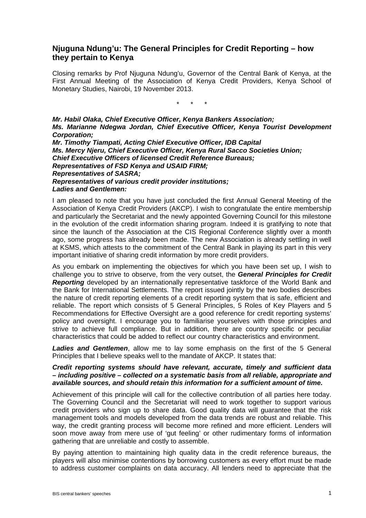## **Njuguna Ndung'u: The General Principles for Credit Reporting – how they pertain to Kenya**

Closing remarks by Prof Njuguna Ndung'u, Governor of the Central Bank of Kenya, at the First Annual Meeting of the Association of Kenya Credit Providers, Kenya School of Monetary Studies, Nairobi, 19 November 2013.

\* \* \*

*Mr. Habil Olaka, Chief Executive Officer, Kenya Bankers Association; Ms. Marianne Ndegwa Jordan, Chief Executive Officer, Kenya Tourist Development Corporation; Mr. Timothy Tiampati, Acting Chief Executive Officer, IDB Capital* 

*Ms. Mercy Njeru, Chief Executive Officer, Kenya Rural Sacco Societies Union; Chief Executive Officers of licensed Credit Reference Bureaus; Representatives of FSD Kenya and USAID FIRM; Representatives of SASRA; Representatives of various credit provider institutions; Ladies and Gentlemen:* 

I am pleased to note that you have just concluded the first Annual General Meeting of the Association of Kenya Credit Providers (AKCP). I wish to congratulate the entire membership and particularly the Secretariat and the newly appointed Governing Council for this milestone in the evolution of the credit information sharing program. Indeed it is gratifying to note that since the launch of the Association at the CIS Regional Conference slightly over a month ago, some progress has already been made. The new Association is already settling in well at KSMS, which attests to the commitment of the Central Bank in playing its part in this very important initiative of sharing credit information by more credit providers.

As you embark on implementing the objectives for which you have been set up, I wish to challenge you to strive to observe, from the very outset, the *General Principles for Credit Reporting* developed by an internationally representative taskforce of the World Bank and the Bank for International Settlements. The report issued jointly by the two bodies describes the nature of credit reporting elements of a credit reporting system that is safe, efficient and reliable. The report which consists of 5 General Principles, 5 Roles of Key Players and 5 Recommendations for Effective Oversight are a good reference for credit reporting systems' policy and oversight. I encourage you to familiarise yourselves with those principles and strive to achieve full compliance. But in addition, there are country specific or peculiar characteristics that could be added to reflect our country characteristics and environment.

*Ladies and Gentlemen*, allow me to lay some emphasis on the first of the 5 General Principles that I believe speaks well to the mandate of AKCP. It states that:

## *Credit reporting systems should have relevant, accurate, timely and sufficient data – including positive – collected on a systematic basis from all reliable, appropriate and available sources, and should retain this information for a sufficient amount of time.*

Achievement of this principle will call for the collective contribution of all parties here today. The Governing Council and the Secretariat will need to work together to support various credit providers who sign up to share data. Good quality data will guarantee that the risk management tools and models developed from the data trends are robust and reliable. This way, the credit granting process will become more refined and more efficient. Lenders will soon move away from mere use of 'gut feeling' or other rudimentary forms of information gathering that are unreliable and costly to assemble.

By paying attention to maintaining high quality data in the credit reference bureaus, the players will also minimise contentions by borrowing customers as every effort must be made to address customer complaints on data accuracy. All lenders need to appreciate that the